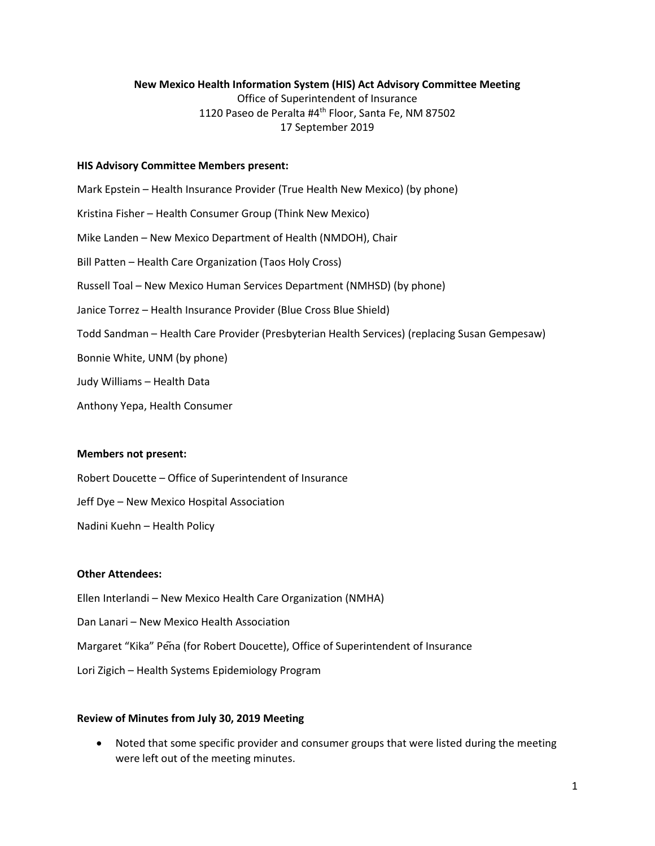### **New Mexico Health Information System (HIS) Act Advisory Committee Meeting**

Office of Superintendent of Insurance 1120 Paseo de Peralta #4<sup>th</sup> Floor, Santa Fe, NM 87502 17 September 2019

#### **HIS Advisory Committee Members present:**

Mark Epstein – Health Insurance Provider (True Health New Mexico) (by phone) Kristina Fisher – Health Consumer Group (Think New Mexico) Mike Landen – New Mexico Department of Health (NMDOH), Chair Bill Patten – Health Care Organization (Taos Holy Cross) Russell Toal – New Mexico Human Services Department (NMHSD) (by phone) Janice Torrez – Health Insurance Provider (Blue Cross Blue Shield) Todd Sandman – Health Care Provider (Presbyterian Health Services) (replacing Susan Gempesaw) Bonnie White, UNM (by phone) Judy Williams – Health Data Anthony Yepa, Health Consumer

#### **Members not present:**

Robert Doucette – Office of Superintendent of Insurance

Jeff Dye – New Mexico Hospital Association

Nadini Kuehn – Health Policy

## **Other Attendees:**

Ellen Interlandi – New Mexico Health Care Organization (NMHA)

Dan Lanari – New Mexico Health Association

Margaret "Kika" Pena (for Robert Doucette), Office of Superintendent of Insurance

Lori Zigich – Health Systems Epidemiology Program

## **Review of Minutes from July 30, 2019 Meeting**

• Noted that some specific provider and consumer groups that were listed during the meeting were left out of the meeting minutes.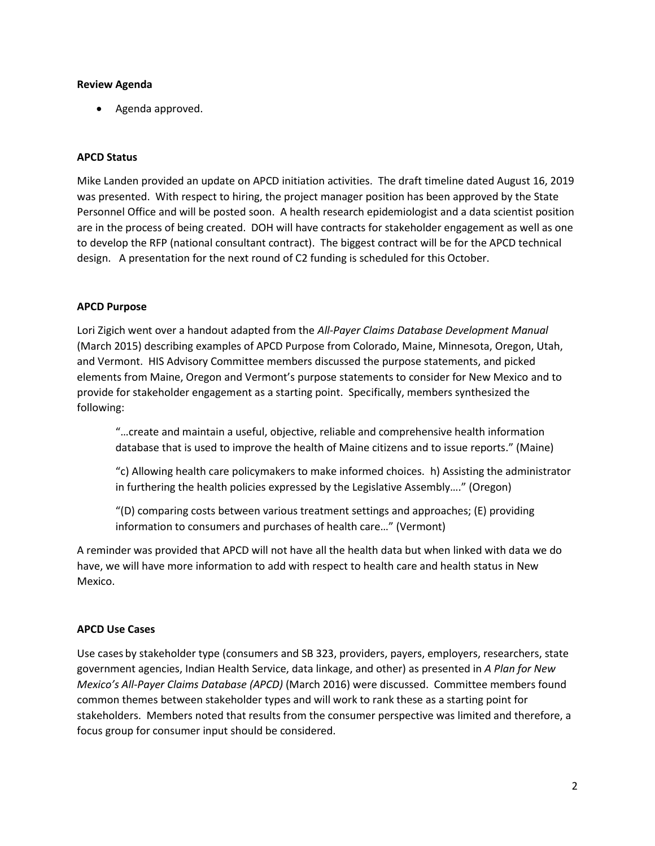### **Review Agenda**

• Agenda approved.

## **APCD Status**

Mike Landen provided an update on APCD initiation activities. The draft timeline dated August 16, 2019 was presented. With respect to hiring, the project manager position has been approved by the State Personnel Office and will be posted soon. A health research epidemiologist and a data scientist position are in the process of being created. DOH will have contracts for stakeholder engagement as well as one to develop the RFP (national consultant contract). The biggest contract will be for the APCD technical design. A presentation for the next round of C2 funding is scheduled for this October.

### **APCD Purpose**

Lori Zigich went over a handout adapted from the *All-Payer Claims Database Development Manual* (March 2015) describing examples of APCD Purpose from Colorado, Maine, Minnesota, Oregon, Utah, and Vermont. HIS Advisory Committee members discussed the purpose statements, and picked elements from Maine, Oregon and Vermont's purpose statements to consider for New Mexico and to provide for stakeholder engagement as a starting point. Specifically, members synthesized the following:

"…create and maintain a useful, objective, reliable and comprehensive health information database that is used to improve the health of Maine citizens and to issue reports." (Maine)

"c) Allowing health care policymakers to make informed choices. h) Assisting the administrator in furthering the health policies expressed by the Legislative Assembly…." (Oregon)

"(D) comparing costs between various treatment settings and approaches; (E) providing information to consumers and purchases of health care…" (Vermont)

A reminder was provided that APCD will not have all the health data but when linked with data we do have, we will have more information to add with respect to health care and health status in New Mexico.

#### **APCD Use Cases**

Use cases by stakeholder type (consumers and SB 323, providers, payers, employers, researchers, state government agencies, Indian Health Service, data linkage, and other) as presented in *A Plan for New Mexico's All-Payer Claims Database (APCD)* (March 2016) were discussed. Committee members found common themes between stakeholder types and will work to rank these as a starting point for stakeholders. Members noted that results from the consumer perspective was limited and therefore, a focus group for consumer input should be considered.